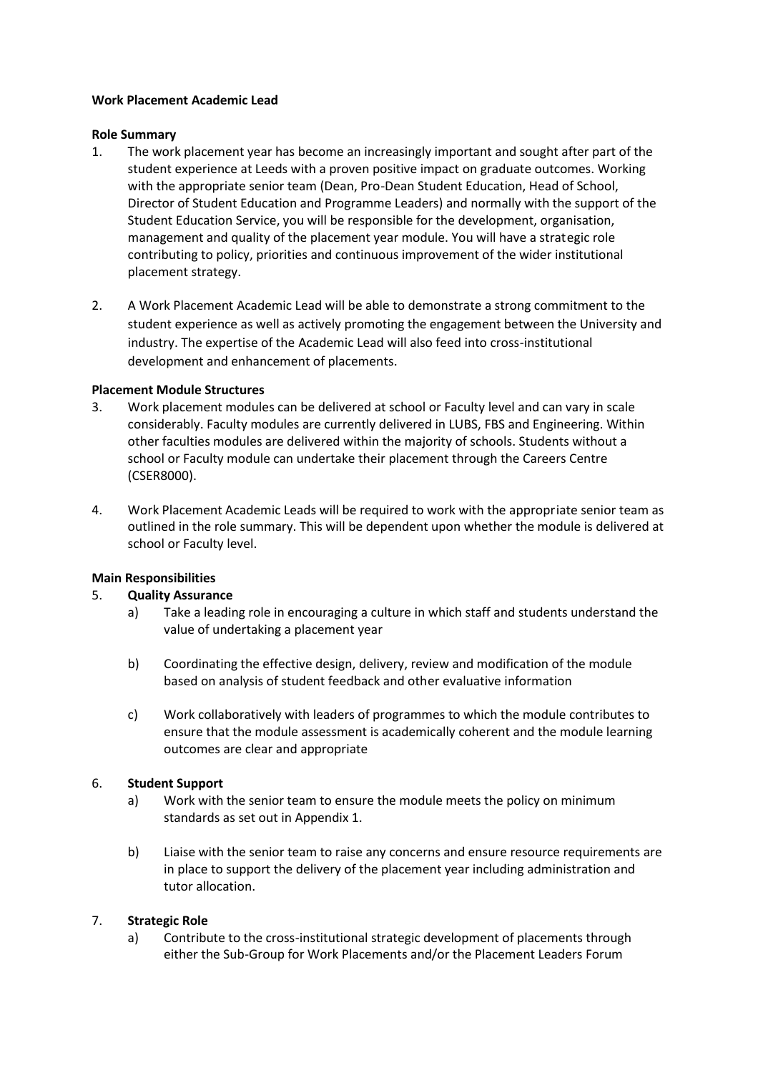### **Work Placement Academic Lead**

### **Role Summary**

- 1. The work placement year has become an increasingly important and sought after part of the student experience at Leeds with a proven positive impact on graduate outcomes. Working with the appropriate senior team (Dean, Pro-Dean Student Education, Head of School, Director of Student Education and Programme Leaders) and normally with the support of the Student Education Service, you will be responsible for the development, organisation, management and quality of the placement year module. You will have a strategic role contributing to policy, priorities and continuous improvement of the wider institutional placement strategy.
- 2. A Work Placement Academic Lead will be able to demonstrate a strong commitment to the student experience as well as actively promoting the engagement between the University and industry. The expertise of the Academic Lead will also feed into cross-institutional development and enhancement of placements.

### **Placement Module Structures**

- 3. Work placement modules can be delivered at school or Faculty level and can vary in scale considerably. Faculty modules are currently delivered in LUBS, FBS and Engineering. Within other faculties modules are delivered within the majority of schools. Students without a school or Faculty module can undertake their placement through the Careers Centre (CSER8000).
- 4. Work Placement Academic Leads will be required to work with the appropriate senior team as outlined in the role summary. This will be dependent upon whether the module is delivered at school or Faculty level.

### **Main Responsibilities**

# 5. **Quality Assurance**

- a) Take a leading role in encouraging a culture in which staff and students understand the value of undertaking a placement year
- b) Coordinating the effective design, delivery, review and modification of the module based on analysis of student feedback and other evaluative information
- c) Work collaboratively with leaders of programmes to which the module contributes to ensure that the module assessment is academically coherent and the module learning outcomes are clear and appropriate

### 6. **Student Support**

- a) Work with the senior team to ensure the module meets the policy on minimum standards as set out in Appendix 1.
- b) Liaise with the senior team to raise any concerns and ensure resource requirements are in place to support the delivery of the placement year including administration and tutor allocation.

### 7. **Strategic Role**

a) Contribute to the cross-institutional strategic development of placements through either the Sub-Group for Work Placements and/or the Placement Leaders Forum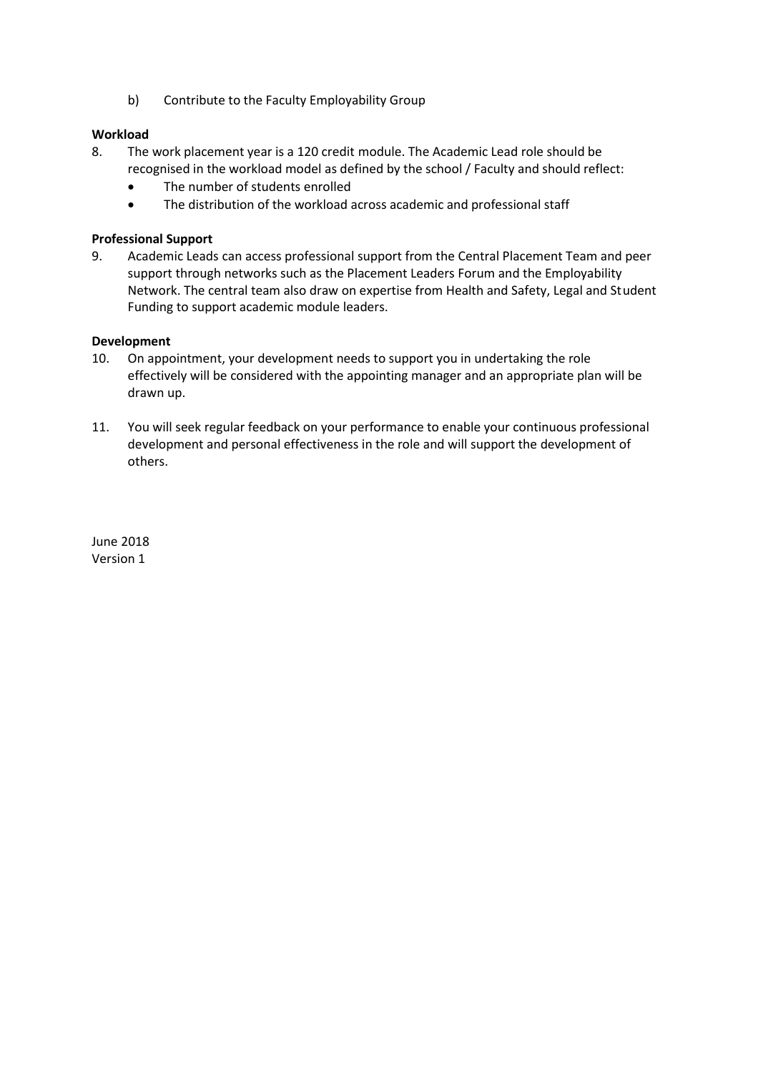b) Contribute to the Faculty Employability Group

## **Workload**

- 8. The work placement year is a 120 credit module. The Academic Lead role should be recognised in the workload model as defined by the school / Faculty and should reflect:
	- The number of students enrolled
	- The distribution of the workload across academic and professional staff

## **Professional Support**

9. Academic Leads can access professional support from the Central Placement Team and peer support through networks such as the Placement Leaders Forum and the Employability Network. The central team also draw on expertise from Health and Safety, Legal and Student Funding to support academic module leaders.

### **Development**

- 10. On appointment, your development needs to support you in undertaking the role effectively will be considered with the appointing manager and an appropriate plan will be drawn up.
- 11. You will seek regular feedback on your performance to enable your continuous professional development and personal effectiveness in the role and will support the development of others.

June 2018 Version 1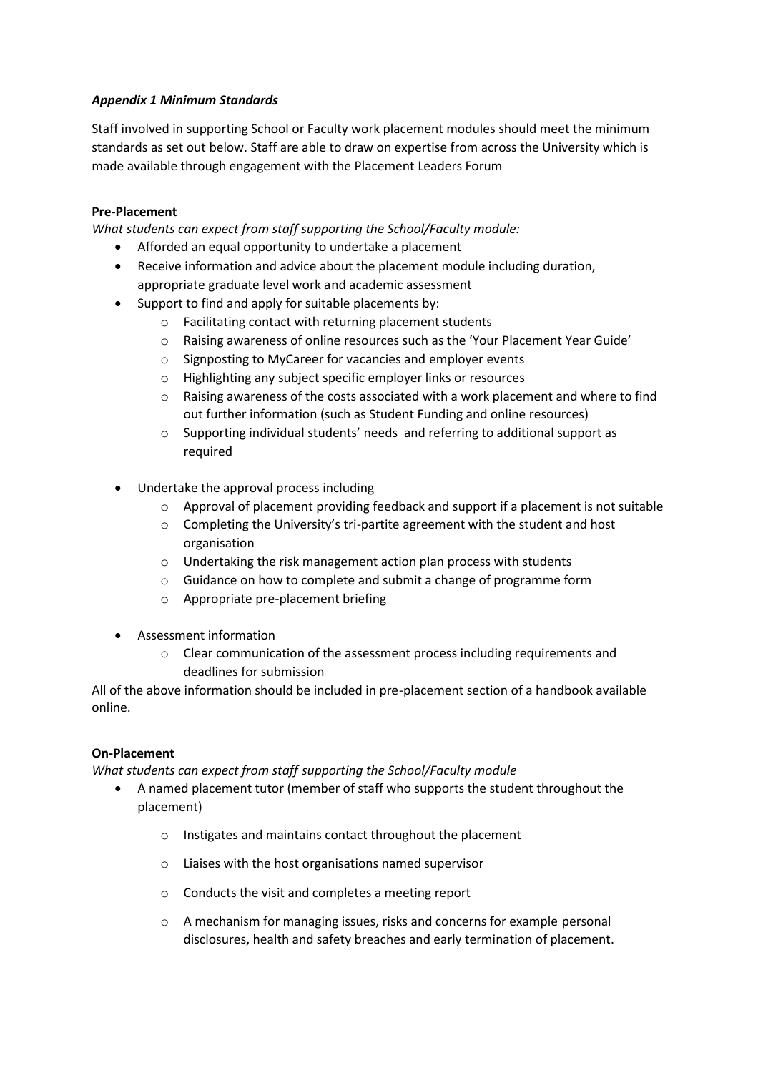# *Appendix 1 Minimum Standards*

Staff involved in supporting School or Faculty work placement modules should meet the minimum standards as set out below. Staff are able to draw on expertise from across the University which is made available through engagement with the Placement Leaders Forum

### **Pre-Placement**

*What students can expect from staff supporting the School/Faculty module:*

- Afforded an equal opportunity to undertake a placement
- Receive information and advice about the placement module including duration, appropriate graduate level work and academic assessment
- Support to find and apply for suitable placements by:
	- o Facilitating contact with returning placement students
	- o Raising awareness of online resources such as the 'Your Placement Year Guide'
	- o Signposting to MyCareer for vacancies and employer events
	- o Highlighting any subject specific employer links or resources
	- $\circ$  Raising awareness of the costs associated with a work placement and where to find out further information (such as Student Funding and online resources)
	- o Supporting individual students' needs and referring to additional support as required
- Undertake the approval process including
	- $\circ$  Approval of placement providing feedback and support if a placement is not suitable
	- $\circ$  Completing the University's tri-partite agreement with the student and host organisation
	- o Undertaking the risk management action plan process with students
	- o Guidance on how to complete and submit a change of programme form
	- o Appropriate pre-placement briefing
- Assessment information
	- o Clear communication of the assessment process including requirements and deadlines for submission

All of the above information should be included in pre-placement section of a handbook available online.

### **On-Placement**

*What students can expect from staff supporting the School/Faculty module*

- A named placement tutor (member of staff who supports the student throughout the placement)
	- o Instigates and maintains contact throughout the placement
	- o Liaises with the host organisations named supervisor
	- o Conducts the visit and completes a meeting report
	- o A mechanism for managing issues, risks and concerns for example personal disclosures, health and safety breaches and early termination of placement.